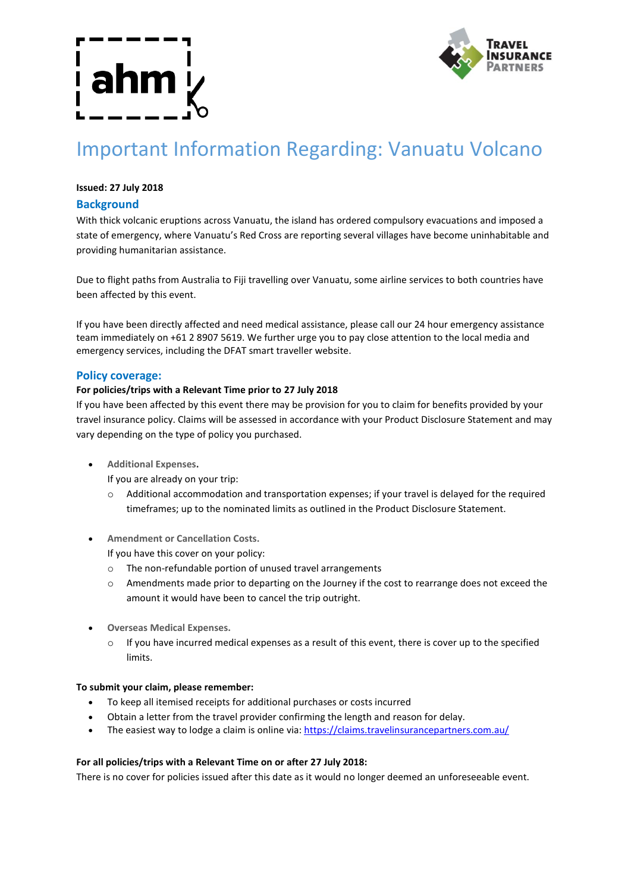

# Important Information Regarding: Vanuatu Volcano

# **Issued: 27 July 2018**

## **Background**

With thick volcanic eruptions across Vanuatu, the island has ordered compulsory evacuations and imposed a state of emergency, where Vanuatu's Red Cross are reporting several villages have become uninhabitable and providing humanitarian assistance.

Due to flight paths from Australia to Fiji travelling over Vanuatu, some airline services to both countries have been affected by this event.

If you have been directly affected and need medical assistance, please call our 24 hour emergency assistance team immediately on +61 2 8907 5619. We further urge you to pay close attention to the local media and emergency services, including the DFAT smart traveller website.

### **Policy coverage:**

### **For policies/trips with a Relevant Time prior to 27 July 2018**

If you have been affected by this event there may be provision for you to claim for benefits provided by your travel insurance policy. Claims will be assessed in accordance with your Product Disclosure Statement and may vary depending on the type of policy you purchased.

- **Additional Expenses.**
	- If you are already on your trip:
	- o Additional accommodation and transportation expenses; if your travel is delayed for the required timeframes; up to the nominated limits as outlined in the Product Disclosure Statement.
- **Amendment or Cancellation Costs.**

If you have this cover on your policy:

- o The non-refundable portion of unused travel arrangements
- o Amendments made prior to departing on the Journey if the cost to rearrange does not exceed the amount it would have been to cancel the trip outright.
- **Overseas Medical Expenses.**
	- $\circ$  If you have incurred medical expenses as a result of this event, there is cover up to the specified limits.

#### **To submit your claim, please remember:**

- To keep all itemised receipts for additional purchases or costs incurred
- Obtain a letter from the travel provider confirming the length and reason for delay.
- The easiest way to lodge a claim is online via: https://claims.travelinsurancepartners.com.au/

#### **For all policies/trips with a Relevant Time on or after 27 July 2018:**

There is no cover for policies issued after this date as it would no longer deemed an unforeseeable event.